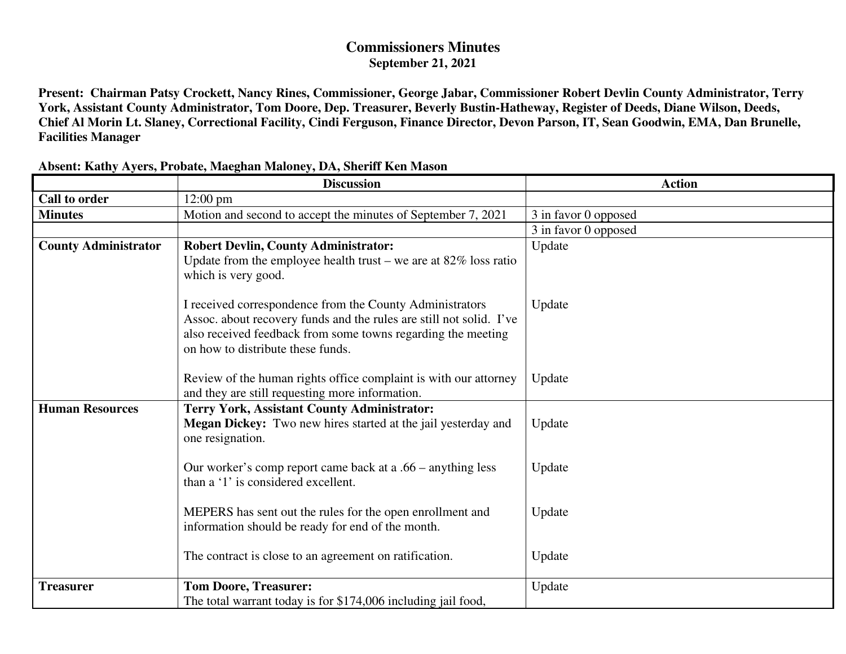## **Commissioners Minutes September 21, 2021**

**Present: Chairman Patsy Crockett, Nancy Rines, Commissioner, George Jabar, Commissioner Robert Devlin County Administrator, Terry York, Assistant County Administrator, Tom Doore, Dep. Treasurer, Beverly Bustin-Hatheway, Register of Deeds, Diane Wilson, Deeds, Chief Al Morin Lt. Slaney, Correctional Facility, Cindi Ferguson, Finance Director, Devon Parson, IT, Sean Goodwin, EMA, Dan Brunelle, Facilities Manager** 

|                             | <b>Discussion</b>                                                                                     | <b>Action</b>        |
|-----------------------------|-------------------------------------------------------------------------------------------------------|----------------------|
| <b>Call to order</b>        | $12:00$ pm                                                                                            |                      |
| <b>Minutes</b>              | Motion and second to accept the minutes of September 7, 2021                                          | 3 in favor 0 opposed |
|                             |                                                                                                       | 3 in favor 0 opposed |
| <b>County Administrator</b> | <b>Robert Devlin, County Administrator:</b>                                                           | Update               |
|                             | Update from the employee health trust – we are at $82\%$ loss ratio                                   |                      |
|                             | which is very good.                                                                                   |                      |
|                             |                                                                                                       |                      |
|                             | I received correspondence from the County Administrators                                              | Update               |
|                             | Assoc. about recovery funds and the rules are still not solid. I've                                   |                      |
|                             | also received feedback from some towns regarding the meeting                                          |                      |
|                             | on how to distribute these funds.                                                                     |                      |
|                             |                                                                                                       |                      |
|                             | Review of the human rights office complaint is with our attorney                                      | Update               |
| <b>Human Resources</b>      | and they are still requesting more information.<br><b>Terry York, Assistant County Administrator:</b> |                      |
|                             | Megan Dickey: Two new hires started at the jail yesterday and                                         | Update               |
|                             | one resignation.                                                                                      |                      |
|                             |                                                                                                       |                      |
|                             | Our worker's comp report came back at a .66 – anything less                                           | Update               |
|                             | than a '1' is considered excellent.                                                                   |                      |
|                             |                                                                                                       |                      |
|                             | MEPERS has sent out the rules for the open enrollment and                                             | Update               |
|                             | information should be ready for end of the month.                                                     |                      |
|                             |                                                                                                       |                      |
|                             | The contract is close to an agreement on ratification.                                                | Update               |
|                             |                                                                                                       |                      |
| <b>Treasurer</b>            | <b>Tom Doore, Treasurer:</b>                                                                          | Update               |
|                             | The total warrant today is for \$174,006 including jail food,                                         |                      |

## **Absent: Kathy Ayers, Probate, Maeghan Maloney, DA, Sheriff Ken Mason**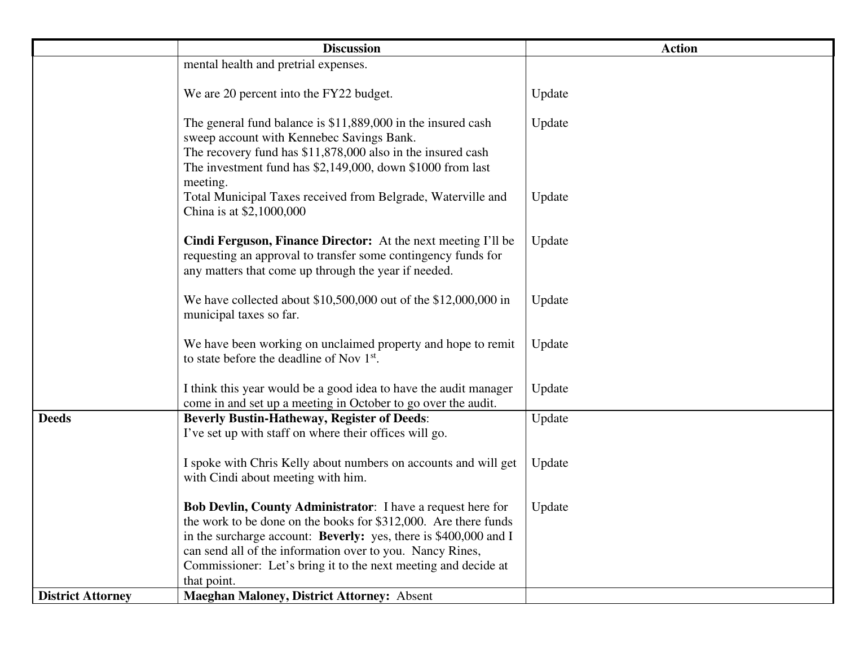|                          | <b>Discussion</b>                                                       | <b>Action</b> |
|--------------------------|-------------------------------------------------------------------------|---------------|
|                          | mental health and pretrial expenses.                                    |               |
|                          |                                                                         |               |
|                          | We are 20 percent into the FY22 budget.                                 | Update        |
|                          | The general fund balance is $$11,889,000$ in the insured cash           | Update        |
|                          | sweep account with Kennebec Savings Bank.                               |               |
|                          | The recovery fund has \$11,878,000 also in the insured cash             |               |
|                          | The investment fund has $$2,149,000$ , down $$1000$ from last           |               |
|                          | meeting.                                                                |               |
|                          | Total Municipal Taxes received from Belgrade, Waterville and            | Update        |
|                          | China is at \$2,1000,000                                                |               |
|                          | Cindi Ferguson, Finance Director: At the next meeting I'll be           | Update        |
|                          | requesting an approval to transfer some contingency funds for           |               |
|                          | any matters that come up through the year if needed.                    |               |
|                          |                                                                         |               |
|                          | We have collected about \$10,500,000 out of the \$12,000,000 in         | Update        |
|                          | municipal taxes so far.                                                 |               |
|                          | We have been working on unclaimed property and hope to remit            | Update        |
|                          | to state before the deadline of Nov 1 <sup>st</sup> .                   |               |
|                          |                                                                         |               |
|                          | I think this year would be a good idea to have the audit manager        | Update        |
|                          | come in and set up a meeting in October to go over the audit.           |               |
| <b>Deeds</b>             | <b>Beverly Bustin-Hatheway, Register of Deeds:</b>                      | Update        |
|                          | I've set up with staff on where their offices will go.                  |               |
|                          | I spoke with Chris Kelly about numbers on accounts and will get         | Update        |
|                          | with Cindi about meeting with him.                                      |               |
|                          |                                                                         |               |
|                          | <b>Bob Devlin, County Administrator:</b> I have a request here for      | Update        |
|                          | the work to be done on the books for \$312,000. Are there funds         |               |
|                          | in the surcharge account: <b>Beverly:</b> yes, there is \$400,000 and I |               |
|                          | can send all of the information over to you. Nancy Rines,               |               |
|                          | Commissioner: Let's bring it to the next meeting and decide at          |               |
|                          | that point.                                                             |               |
| <b>District Attorney</b> | <b>Maeghan Maloney, District Attorney: Absent</b>                       |               |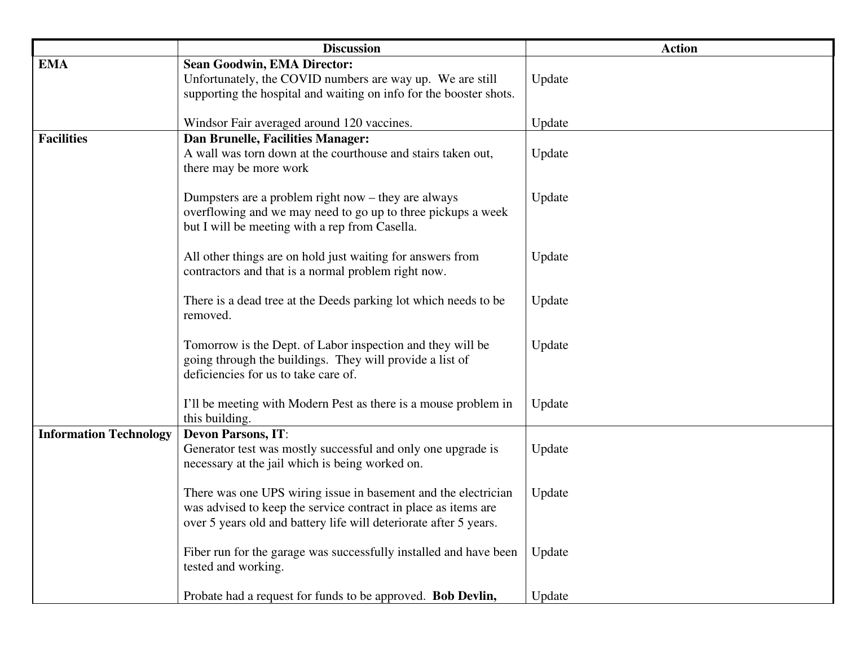|                               | <b>Discussion</b>                                                                                                                                                                                     | <b>Action</b> |
|-------------------------------|-------------------------------------------------------------------------------------------------------------------------------------------------------------------------------------------------------|---------------|
| <b>EMA</b>                    | <b>Sean Goodwin, EMA Director:</b><br>Unfortunately, the COVID numbers are way up. We are still<br>supporting the hospital and waiting on info for the booster shots.                                 | Update        |
|                               | Windsor Fair averaged around 120 vaccines.                                                                                                                                                            | Update        |
| <b>Facilities</b>             | Dan Brunelle, Facilities Manager:<br>A wall was torn down at the courthouse and stairs taken out,<br>there may be more work                                                                           | Update        |
|                               | Dumpsters are a problem right now $-$ they are always<br>overflowing and we may need to go up to three pickups a week<br>but I will be meeting with a rep from Casella.                               | Update        |
|                               | All other things are on hold just waiting for answers from<br>contractors and that is a normal problem right now.                                                                                     | Update        |
|                               | There is a dead tree at the Deeds parking lot which needs to be<br>removed.                                                                                                                           | Update        |
|                               | Tomorrow is the Dept. of Labor inspection and they will be<br>going through the buildings. They will provide a list of<br>deficiencies for us to take care of.                                        | Update        |
|                               | I'll be meeting with Modern Pest as there is a mouse problem in<br>this building.                                                                                                                     | Update        |
| <b>Information Technology</b> | <b>Devon Parsons, IT:</b><br>Generator test was mostly successful and only one upgrade is<br>necessary at the jail which is being worked on.                                                          | Update        |
|                               | There was one UPS wiring issue in basement and the electrician<br>was advised to keep the service contract in place as items are<br>over 5 years old and battery life will deteriorate after 5 years. | Update        |
|                               | Fiber run for the garage was successfully installed and have been<br>tested and working.                                                                                                              | Update        |
|                               | Probate had a request for funds to be approved. Bob Devlin,                                                                                                                                           | Update        |